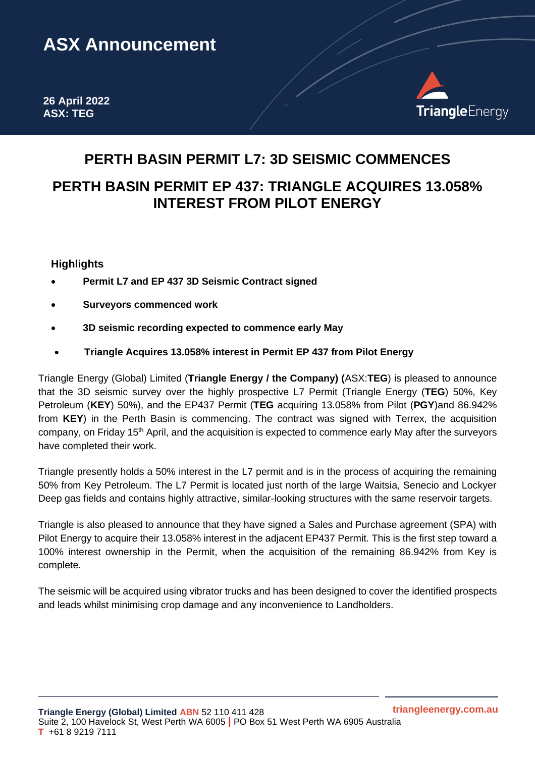# **ASX Announcement**

**26 April 2022 ASX: TEG**



## **PERTH BASIN PERMIT L7: 3D SEISMIC COMMENCES**

### **PERTH BASIN PERMIT EP 437: TRIANGLE ACQUIRES 13.058% INTEREST FROM PILOT ENERGY**

#### **Highlights**

- **Permit L7 and EP 437 3D Seismic Contract signed**
- **Surveyors commenced work**
- **3D seismic recording expected to commence early May**
- **Triangle Acquires 13.058% interest in Permit EP 437 from Pilot Energy**

Triangle Energy (Global) Limited (**Triangle Energy / the Company) (**ASX:**TEG**) is pleased to announce that the 3D seismic survey over the highly prospective L7 Permit (Triangle Energy (**TEG**) 50%, Key Petroleum (**KEY**) 50%), and the EP437 Permit (**TEG** acquiring 13.058% from Pilot (**PGY**)and 86.942% from **KEY**) in the Perth Basin is commencing. The contract was signed with Terrex, the acquisition company, on Friday 15<sup>th</sup> April, and the acquisition is expected to commence early May after the surveyors have completed their work.

Triangle presently holds a 50% interest in the L7 permit and is in the process of acquiring the remaining 50% from Key Petroleum. The L7 Permit is located just north of the large Waitsia, Senecio and Lockyer Deep gas fields and contains highly attractive, similar-looking structures with the same reservoir targets.

Triangle is also pleased to announce that they have signed a Sales and Purchase agreement (SPA) with Pilot Energy to acquire their 13.058% interest in the adjacent EP437 Permit. This is the first step toward a 100% interest ownership in the Permit, when the acquisition of the remaining 86.942% from Key is complete.

The seismic will be acquired using vibrator trucks and has been designed to cover the identified prospects and leads whilst minimising crop damage and any inconvenience to Landholders.

**triangleenergy.com.au**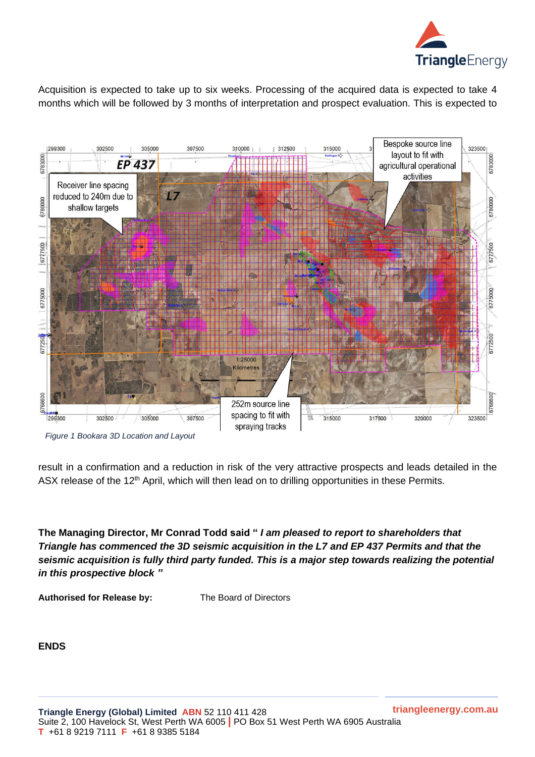

Acquisition is expected to take up to six weeks. Processing of the acquired data is expected to take 4 months which will be followed by 3 months of interpretation and prospect evaluation. This is expected to



*Figure 1 Bookara 3D Location and Layout*

result in a confirmation and a reduction in risk of the very attractive prospects and leads detailed in the ASX release of the 12<sup>th</sup> April, which will then lead on to drilling opportunities in these Permits.

**The Managing Director, Mr Conrad Todd said "** *I am pleased to report to shareholders that Triangle has commenced the 3D seismic acquisition in the L7 and EP 437 Permits and that the seismic acquisition is fully third party funded. This is a major step towards realizing the potential in this prospective block "*

**Authorised for Release by:** The Board of Directors

**ENDS**

**triangleenergy.com.au**